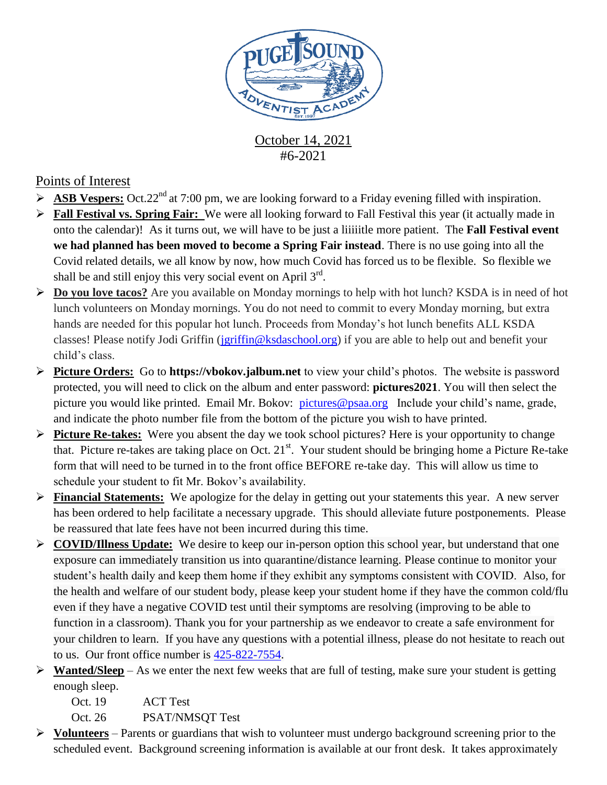

October 14, 2021 #6-2021

## Points of Interest

- **ASB Vespers:** Oct.22<sup>nd</sup> at 7:00 pm, we are looking forward to a Friday evening filled with inspiration.
- **Fall Festival vs. Spring Fair:** We were all looking forward to Fall Festival this year (it actually made in onto the calendar)! As it turns out, we will have to be just a liiiiitle more patient. The **Fall Festival event we had planned has been moved to become a Spring Fair instead**. There is no use going into all the Covid related details, we all know by now, how much Covid has forced us to be flexible. So flexible we shall be and still enjoy this very social event on April  $3<sup>rd</sup>$ .
- **Do you love tacos?** Are you available on Monday mornings to help with hot lunch? KSDA is in need of hot lunch volunteers on Monday mornings. You do not need to commit to every Monday morning, but extra hands are needed for this popular hot lunch. Proceeds from Monday's hot lunch benefits ALL KSDA classes! Please notify Jodi Griffin [\(jgriffin@ksdaschool.org\)](mailto:jgriffin@ksdaschool.org) if you are able to help out and benefit your child's class.
- **Picture Orders:** Go to **https://vbokov.jalbum.net** to view your child's photos. The website is password protected, you will need to click on the album and enter password: **pictures2021**. You will then select the picture you would like printed. Email Mr. Bokov: [pictures@psaa.org](mailto:vbokov@psaa.org) Include your child's name, grade, and indicate the photo number file from the bottom of the picture you wish to have printed.
- **Picture Re-takes:** Were you absent the day we took school pictures? Here is your opportunity to change that. Picture re-takes are taking place on Oct.  $21^{st}$ . Your student should be bringing home a Picture Re-take form that will need to be turned in to the front office BEFORE re-take day. This will allow us time to schedule your student to fit Mr. Bokov's availability.
- **Financial Statements:** We apologize for the delay in getting out your statements this year. A new server has been ordered to help facilitate a necessary upgrade. This should alleviate future postponements. Please be reassured that late fees have not been incurred during this time.
- **COVID/Illness Update:** We desire to keep our in-person option this school year, but understand that one exposure can immediately transition us into quarantine/distance learning. Please continue to monitor your student's health daily and keep them home if they exhibit any symptoms consistent with COVID. Also, for the health and welfare of our student body, please keep your student home if they have the common cold/flu even if they have a negative COVID test until their symptoms are resolving (improving to be able to function in a classroom). Thank you for your partnership as we endeavor to create a safe environment for your children to learn. If you have any questions with a potential illness, please do not hesitate to reach out to us. Our front office number is [425-822-7554.](tel:425-822-7554)
- **Wanted/Sleep** As we enter the next few weeks that are full of testing, make sure your student is getting enough sleep.

Oct. 19 ACT Test

Oct. 26 PSAT/NMSOT Test

 **Volunteers** – Parents or guardians that wish to volunteer must undergo background screening prior to the scheduled event. Background screening information is available at our front desk. It takes approximately